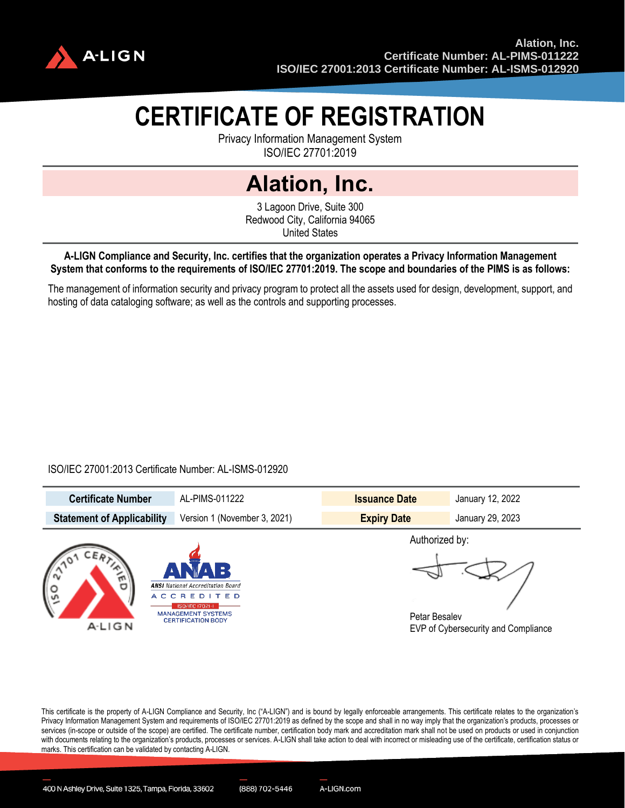

# **CERTIFICATE OF REGISTRATION**

Privacy Information Management System ISO/IEC 27701:2019

## **Alation, Inc.**

3 Lagoon Drive, Suite 300 Redwood City, California 94065 United States

#### **A-LIGN Compliance and Security, Inc. certifies that the organization operates a Privacy Information Management System that conforms to the requirements of ISO/IEC 27701:2019. The scope and boundaries of the PIMS is as follows:**

The management of information security and privacy program to protect all the assets used for design, development, support, and hosting of data cataloging software; as well as the controls and supporting processes.

### ISO/IEC 27001:2013 Certificate Number: AL-ISMS-012920

| <b>Certificate Number</b>         | AL-PIMS-011222                                                                                                                             | <b>Issuance Date</b>            | January 12, 2022                    |
|-----------------------------------|--------------------------------------------------------------------------------------------------------------------------------------------|---------------------------------|-------------------------------------|
| <b>Statement of Applicability</b> | Version 1 (November 3, 2021)                                                                                                               | <b>Expiry Date</b>              | January 29, 2023                    |
| W<br>°<br>A-LIGN                  | <b>ANSI</b> National Accreditation Board<br><b>ACCREDITED</b><br>ISO/IEC 17021-1<br><b>MANAGEMENT SYSTEMS</b><br><b>CERTIFICATION BODY</b> | Authorized by:<br>Petar Besalev | EVP of Cybersecurity and Compliance |

This certificate is the property of A-LIGN Compliance and Security, Inc ("A-LIGN") and is bound by legally enforceable arrangements. This certificate relates to the organization's Privacy Information Management System and requirements of ISO/IEC 27701:2019 as defined by the scope and shall in no way imply that the organization's products, processes or services (in-scope or outside of the scope) are certified. The certificate number, certification body mark and accreditation mark shall not be used on products or used in conjunction with documents relating to the organization's products, processes or services. A-LIGN shall take action to deal with incorrect or misleading use of the certificate, certification status or marks. This certification can be validated by contacting A-LIGN.